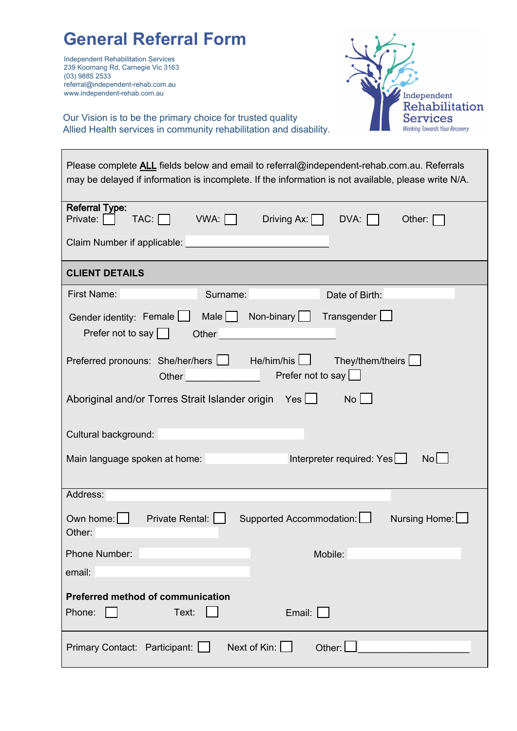| <b>General Referral Form</b><br><b>Independent Rehabilitation Services</b><br>239 Koornang Rd, Carnegie Vic 3163<br>(03) 9885 2533<br>referral@independent-rehab.com.au<br>www.independent-rehab.com.au<br>Independent<br>Rehabilitation<br>Our Vision is to be the primary choice for trusted quality<br>Services<br><b>Working Towards Your Recovery</b><br>Allied Health services in community rehabilitation and disability.                                                               |
|------------------------------------------------------------------------------------------------------------------------------------------------------------------------------------------------------------------------------------------------------------------------------------------------------------------------------------------------------------------------------------------------------------------------------------------------------------------------------------------------|
| Please complete ALL fields below and email to referral@independent-rehab.com.au. Referrals<br>may be delayed if information is incomplete. If the information is not available, please write N/A.                                                                                                                                                                                                                                                                                              |
| <b>Referral Type:</b><br>$TAC: \Box$ VWA: $\Box$<br>Driving Ax: $\Box$ DVA:<br>Private: $\Box$<br>Other:<br>Claim Number if applicable:                                                                                                                                                                                                                                                                                                                                                        |
| <b>CLIENT DETAILS</b>                                                                                                                                                                                                                                                                                                                                                                                                                                                                          |
| <b>First Name:</b><br>Surname:<br>Date of Birth:<br>Transgender L<br>Gender identity: Female<br>Male   Non-binary  <br>Prefer not to say<br>Other<br>Preferred pronouns: She/her/hers   He/him/his  <br>They/them/theirs<br><b>Contract Contract Contract</b><br>Prefer not to say $\Box$<br>Other<br>Aboriginal and/or Torres Strait Islander origin Yes [10]<br><b>No</b><br>Cultural background:<br>Interpreter required: Yes<br>$\mathsf{No}$<br>Main language spoken at home:<br>Address: |
| Own home: $\vert \vert$<br>Private Rental:  <br>Supported Accommodation:  <br>Nursing Home: [<br>Other:<br>Phone Number:<br>Mobile:<br>email:<br><b>Preferred method of communication</b><br>Phone:<br>Text:<br>Email:                                                                                                                                                                                                                                                                         |
| Next of Kin:<br>Other:<br>Primary Contact: Participant:                                                                                                                                                                                                                                                                                                                                                                                                                                        |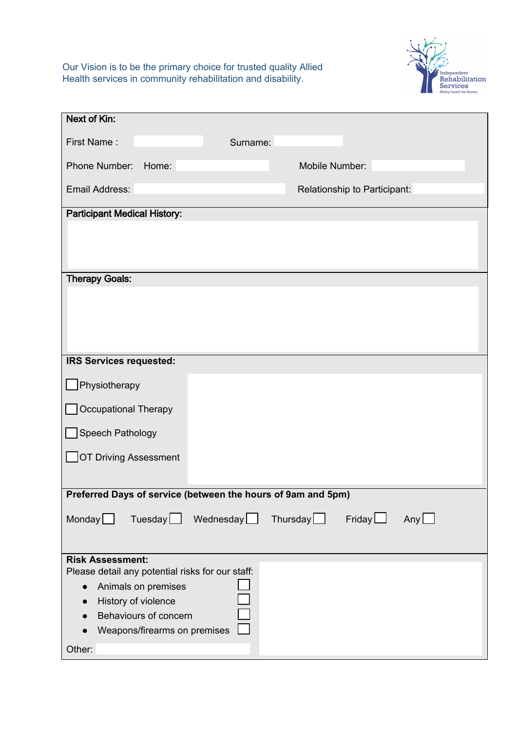Our Vision is to be the primary choice for trusted quality Allied Health services in community rehabilitation and disability.



| <b>Next of Kin:</b>                                          |                     |                 |                              |     |
|--------------------------------------------------------------|---------------------|-----------------|------------------------------|-----|
| First Name:                                                  | Surname:            |                 |                              |     |
| Phone Number:<br>Home:                                       |                     | Mobile Number:  |                              |     |
| Email Address:                                               |                     |                 | Relationship to Participant: |     |
| <b>Participant Medical History:</b>                          |                     |                 |                              |     |
|                                                              |                     |                 |                              |     |
|                                                              |                     |                 |                              |     |
| <b>Therapy Goals:</b>                                        |                     |                 |                              |     |
|                                                              |                     |                 |                              |     |
|                                                              |                     |                 |                              |     |
|                                                              |                     |                 |                              |     |
| IRS Services requested:                                      |                     |                 |                              |     |
| Physiotherapy                                                |                     |                 |                              |     |
| <b>Occupational Therapy</b>                                  |                     |                 |                              |     |
| Speech Pathology                                             |                     |                 |                              |     |
| <b>OT Driving Assessment</b>                                 |                     |                 |                              |     |
|                                                              |                     |                 |                              |     |
| Preferred Days of service (between the hours of 9am and 5pm) |                     |                 |                              |     |
| Monday                                                       | $Tuesday$ Wednesday | Thursday $\Box$ | Friday                       | Any |
|                                                              |                     |                 |                              |     |
| <b>Risk Assessment:</b>                                      |                     |                 |                              |     |
| Please detail any potential risks for our staff:             |                     |                 |                              |     |
| Animals on premises<br>$\bullet$                             |                     |                 |                              |     |
| History of violence                                          |                     |                 |                              |     |
| Behaviours of concern                                        |                     |                 |                              |     |
| Weapons/firearms on premises                                 |                     |                 |                              |     |
| Other:                                                       |                     |                 |                              |     |